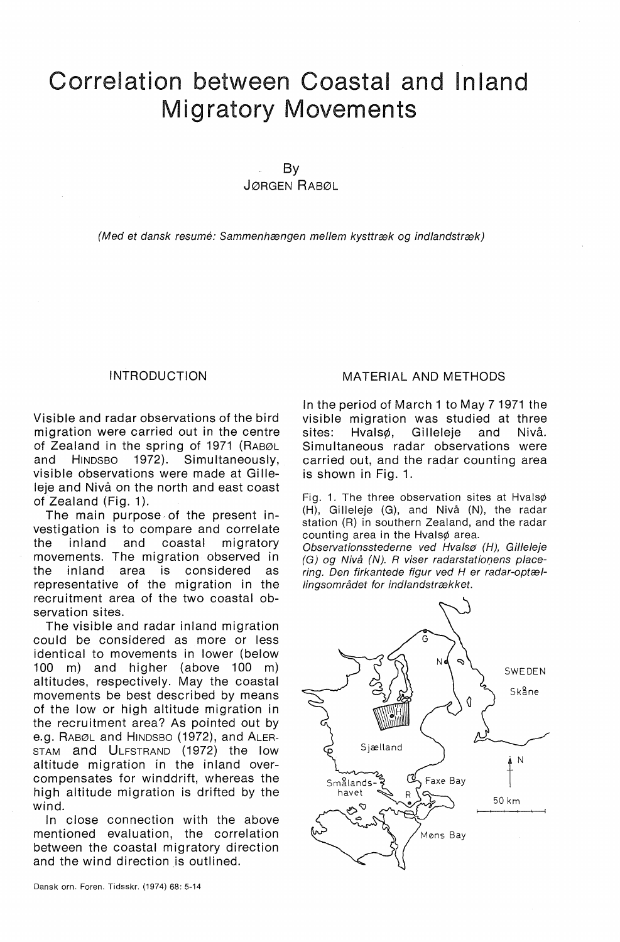# Correlation between Coastal and lnland Migratory Movements

By

JØRGEN RABØL

(Med et dansk resume: Sammenhængen mellem kysttræk og indlandstræk)

## INTRODUCTION

Visible and radar observations of the bird migration were carried out in the centre of Zealand in the spring of 1971 (RABØL<br>and HINDSBO 1972). Simultaneously. and HINDSBO 1972). Simultaneously, visible observations were made at Gilleleje and Nivå on the north and east coast of Zealand (Fig. 1).

The main purpose, of the present investigation is to compare and correlate the inland and coastal migratory movements. The migration observed in the inland area is considered as representative of the migration in the recruitment area of the two coastal observation sites.

The visible and radar inland migration could be considered as more or less identical to movements in lower (below 100 m) and higher (above 100 m) altitudes, respectively. May the coastal movements be best described by means of the low or high altitude migration in the recruitment area? As pointed out by e.g. RABØL and HINDSBO (1972), and ALER-STAM and ULFSTRAND (1972) the low altitude migration in the inland overcompensates for winddrift, whereas the high altitude migration is drifted by the wind.

In close connection with the above mentioned evaluation, the correlation between the coastal migratory direction and the wind direction is outlined.

## MATERIAL AND METHODS

In the period of March 1 to May 71971 the visible migration was studied at three sites: Hvalsø, Gilleleje and Nivå. Simultaneous radar observations were carried out, and the radar counting area is shown in Fig. 1.

Fig. 1. The three observation sites at Hvalsø (H), Gilleleje (G), and Nivå (N), the radar station (R) in southern Zealand, and the radar counting area in the Hvalsø area.

Observationsstederne ved Hvalsø (H), Gilleleje  $(G)$  og Nivå  $(N)$ . R viser radarstationens placering. Den firkantede figur ved H er radar-optællingsområdet for indlandstrækket.

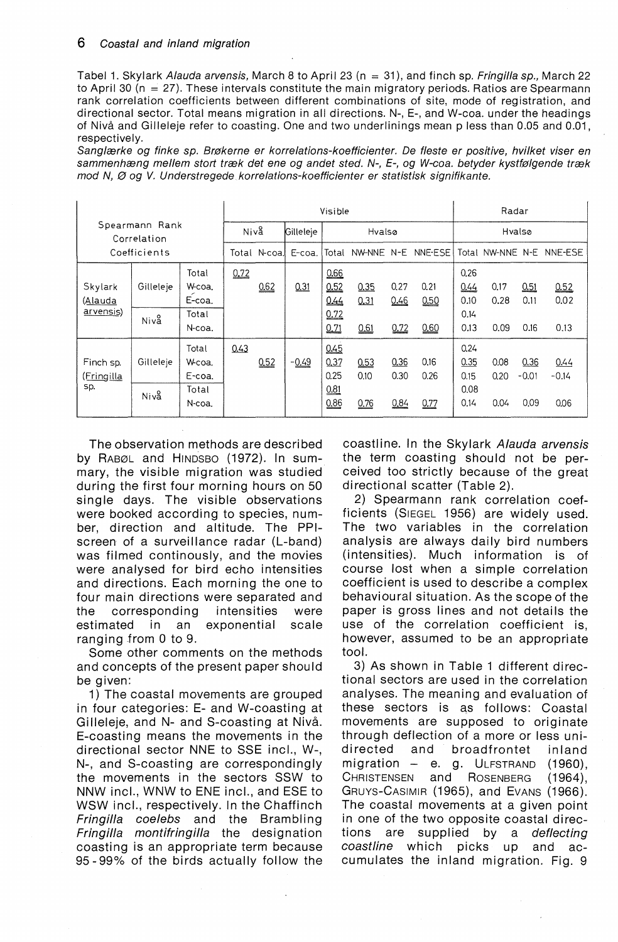## 6 Coastal and in/and migration

Tabel 1. Skylark Alauda arvensis, March 8 to April 23 (n = 31), and finch sp. Fringilla sp., March 22 to April 30 ( $n = 27$ ). These intervals constitute the main migratory periods. Ratios are Spearmann rank correlation coefficients between different combinations of site, mode ot registration, and directional sector. Total means migration in all directions. N-, E-, and W-coa. under the headings ot Nivå and Gilleleje refer to coasting. One and two underlinings mean p less than 0.05 and 0.01, respectively.

Sanglærke og finke sp. Brøkerne er korrelations-koefficienter. De fleste er positive, hvilket viser en sammenhæng mellem stort træk det ene og andet sted. N-, E-, og W-coa. betyder kystfølgende træk mod N, Ø og V. Understregede korrelations-koefficienter er statistisk signifikante.

| Spearmann Rank<br>Correlation |           |        |              |        | Visible   | Radar  |        |         |      |                  |      |         |         |
|-------------------------------|-----------|--------|--------------|--------|-----------|--------|--------|---------|------|------------------|------|---------|---------|
|                               |           |        | Niva         |        | Gilleleje |        | Hvalsø |         |      | Hvalsø           |      |         |         |
| Coefficients                  |           |        | Total N-coal | E-coa. | Total     | NW-NNE | $N-E$  | NNE-ESE |      | Total NW-NNE N-E |      | NNE-ESE |         |
|                               |           | Total  | 0.72         |        |           | 0.66   |        |         |      | 0.26             |      |         |         |
| Skylark                       | Gilleleje | W-coa. |              | 0.62   | 0.31      | 0.52   | 0.35   | 0.27    | 0.21 | 0.44             | 0.17 | 0.51    | 0.52    |
| (Alauda<br>arvensis)          |           | E-coa. |              |        |           | 0.44   | 0.31   | 0.46    | 0.50 | 0.10             | 0.28 | 0.11    | 0.02    |
|                               | Niva      | Total  |              |        |           | 0.72   |        |         |      | 0.14             |      |         |         |
|                               |           | N-coa. |              |        |           | 0.71   | 0.61   | 0.72    | 0.60 | 0.13             | 0.09 | 0.16    | 0.13    |
|                               |           | Total  | 0.43         |        |           | 0.45   |        |         |      | 0.24             |      |         |         |
| Finch sp.                     | Gilleleje | W-coa. |              | 0.52   | $-0.49$   | 0.37   | 0.53   | 0.36    | 0.16 | 0.35             | 0.08 | 0.36    | 0.44    |
| (Fringilla<br>sp.             |           | E-coa. |              |        |           | 0.25   | 0.10   | 0.30    | 0.26 | 0.15             | 0.20 | $-0.01$ | $-0.14$ |
|                               | Niva      | Total  |              |        |           | 0.81   |        |         |      | 0.08             |      |         |         |
|                               |           | N-coa. |              |        |           | 0.86   | 0.76   | 0.84    | 0.77 | 0.14             | 0.04 | 0.09    | 0.06    |

The observation methods are described by RABØL and HINDSBO (1972). In summary, the visible migration was studied du ring the first four morning hours on 50 single days. The visible observations were booked according to species, number, direction and altitude. The PPIscreen of a surveillance radar {L-band) was tilmed continously, and the movies were analysed for bird echo intensities and directions. Each morning the one to four main directions were separated and the corresponding intensities were estimated in an exponential scale ranging from 0 to 9.

Some other comments on the methods and concepts of the present paper shou Id be given:

1) The coastal movements are grouped in four categories: E- and W-coasting at Gilleleje, and N- and S-coasting at Nivå. E-coasting means the movements in the directional sector NNE to SSE incl., W-, N-, and S-coasting are correspondingly the movements in the sectors SSW to NNW incl., WNW to ENE incl., and ESE to WSW incl., respectively. In the Chaffinch Fringilla coelebs and the Brambling Fringilla montifringilla the designation coasting is an appropriate term because 95-99% of the birds actually follow the coastline. In the Skylark Alauda arvensis the term coasting should not be perceived too strictly because of the great directional scatter (Table 2).

2) Spearmann rank correlation coefficients (SIEGEL 1956) are widely used. The two variables in the correlation analysis are always daily bird numbers (intensities). Much information is of course lost when a simple correlation coefficient is used to describe a complex behavioural situation. As the scope of the paper is gross lines and not details the use of the correlation coefficient is, however, assumed to be an appropriate tool.

3) As shown in Table 1 different directional sectors are used in the correlation analyses. The meaning and evaluation of these sectors is as follows: Coastal movements are supposed to originate through deflection of a more or less unidi rected and broadfrontet in land migration - e. g. ULFSTRAND (1960), CHRISTENSEN and ROSENBERG (1964), GRUYS-CASIMIR (1965), and EVANS (1966). The coastal movements at a given point in one of the two opposite coastal directions are supplied by a deflecting coastline which picks up and accumulates the inland migration. Fig. 9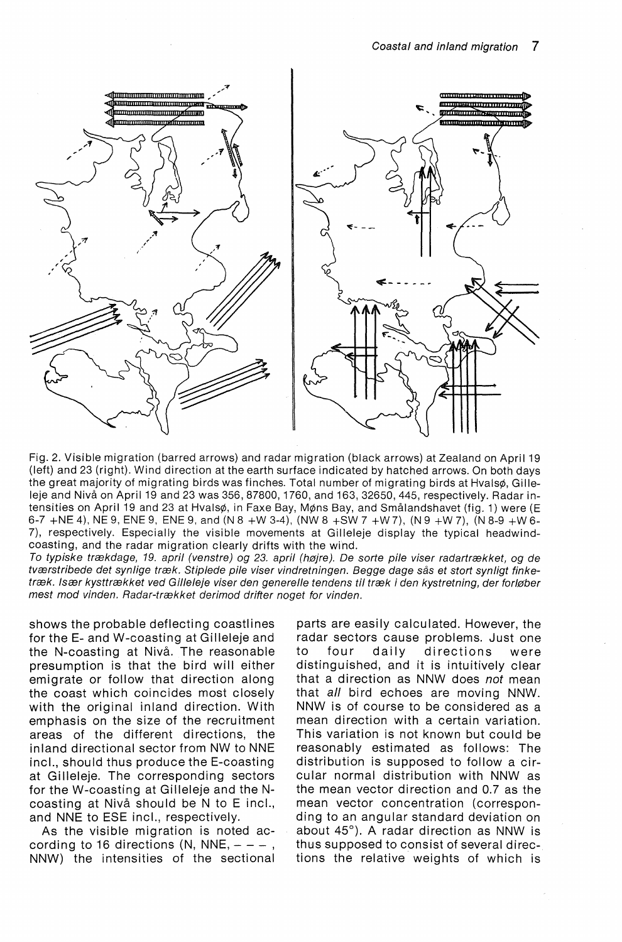

Fig. 2. Visible migration (barred arrows) and radar migration (black arrows) at Zealand on April 19 (left) and 23 (right). Wind direction at the earth surface indicated by hatched arrows. On both days the great majority of migrating birds was finches. Total number of migrating birds at Hvalsø, Gilleleje and Nivå on April 19 and 23 was 356, 87800, 1760, and 163, 32650, 445, respectively. Radar intensities on April 19 and 23 at Hvalsø, in Faxe Bay, Møns Bay, and Smålandshavet (fig. 1) were (E 6-7 +NE 4), NE 9, ENE 9, ENE 9, and (N 8 +W 3-4), (NW 8 +SW 7 +W 7), (N 9 +W 7), (N 8-9 +W 6-7), respectively. Especially the visible movements at Gilleleje display the typical headwindcoasting, and the radar migration clearly drifts with the wind.

To typiske trækdage, 19. april (venstre) og 23. april (højre). De sorte pile viser radartrækket, og de tværstribede det synlige træk. Stiplede pile viser vindretningen. Begge dage sås et stort synligt finketræk. Især kysttrækket ved Gilleleje viser den generelle tendens til træk i den kystretning, der forløber mest mod vinden. Radar-trækket derimod drifter noget for vinden.

shows the probable deflecting coastlines for the E- and W-coasting at Gilleleje and the N-coasting at Nivå. The reasonable presumption is that the bird will either emigrate or follow that direction along the coast which coincides most closely with the original inland direction. With emphasis on the size of the recruitment areas of the different directions, the inland directional sector from NW to NNE incl., should thus produce the E-coasting at Gilleleje. The corresponding sectors for the W-coasting at Gilleleje and the Ncoasting at Nivå should be N to E incl., and NNE to ESE incl., respectively.

As the visible migration is noted according to 16 directions (N, NNE,  $- - -$ , NNW) the intensities of the sectional

parts are easily calculated. However, the radar sectors cause problems. Just one to four daily directions were distinguished, and it is intuitively clear that a direction as NNW does *not* mean that all bird echoes are moving NNW. NNW is of course to be considered as a mean direction with a certain variation. This variation is not known but could be reasonably estimated as follows: The distribution is supposed to follow a circular normal distribution with NNW as the mean vector direction and 0.7 as the mean vector concentration (corresponding to an angular standard deviation on about 45°). A radar direction as NNW is thus supposed to consist of several directions the relative weights of which is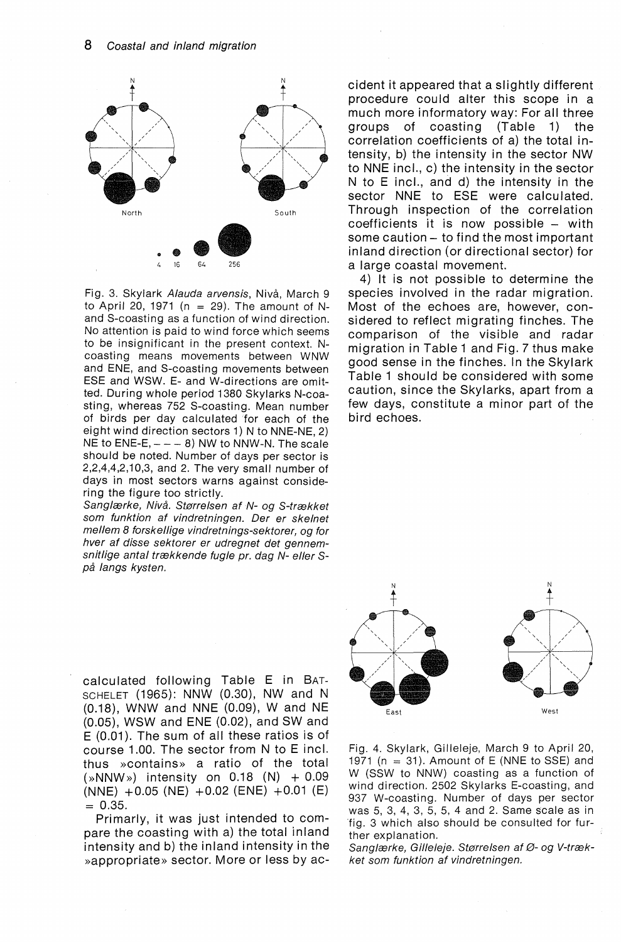

Fig. 3. Skylark Alauda arvensis, Nivå, March 9 to April 20, 1971 (n = 29). The amount of Nand S-coasting as a function of wind direction. No attention is paid to wind force which seems to be insignificant in the present context. Ncoasting means movements between WNW and ENE, and S-coasting movements between ESE and WSW. E- and W-directions are omitted. During whole period 1380 Skylarks N-coasting, whereas 752 S-coasting. Mean number of birds per day calculated for each of the eight wind direction sectors 1) N to NNE-NE, 2) NE to  $ENE-E$ ,  $- - - 8$ ) NW to NNW-N. The scale should be noted. Number of days per sector is 2,2,4,4,2,10,3, and 2. The very smal! number of days in most sectors warns against considering the figure too strictly.

Sanglærke, Nivå. Størrelsen af N- og S-trækket som funktion af vindretningen. Der er skelnet mellem 8 forskellige vindretnings-sektorer, og for hver af disse sektorer er udregnet det gennemsnitlige antal trækkende fugle pr. dag N- eller Spå langs kysten.

calculated following Table E in BAT-SCHELET (1965): NNW (0.30), NW and N (0.18), WNW and NNE (0.09), W and NE (0.05), WSW and ENE (0.02), and SW and  $E$  (0.01). The sum of all these ratios is of course 1.00. The sector from N to E incl. thus »contains» a ratio of the total  $(\times NNW)$  intensity on 0.18 (N) + 0.09  $(NNE)$  +0.05 (NE) +0.02 (ENE) +0.01 (E)  $= 0.35.$ 

Primarly, it was just intended to compare the coasting with a) the total inland intensity and b) the inland intensity in the »appropriate» sector. More or less by aecident it appeared that a slightly different procedure could alter this scope in a much more informatory way: For all three groups of coasting (Table 1) the correlation coefficients of a) the total intensity, b) the intensity in the sector NW to NNE incl., c) the intensity in the sector N to E incl., and d) the intensity in the sector NNE to ESE were calculated. Through inspection of the correlation coefficients it is now possible – with some caution - to find the most important inland direction (or directional sector) for a large coastal movement.

4) It is not possible to determine the species involved in the radar migration. Most of the echoes are, however, considered to reflect migrating finches. The comparison of the visible and radar migration in Table 1 and Fig. 7 thus make good sense in the finches. In the Skylark Table 1 should be considered with some caution, since the Skylarks, apart from a few days, constitute a minor part of the bird echoes.



Fig. 4. Skylark, Gilleleje, March 9 to April 20, 1971 ( $n = 31$ ). Amount of E (NNE to SSE) and W (SSW to NNW) coasting as a function of wind direction. 2502 Skylarks E-coasting, and 937 W-coasting. Number of days per sector was 5, 3, 4, 3, 5, 5, 4 and 2. Same scale as in fig. 3 which also should be consulted for further explanation.

Sanglærke, Gilleleje. Størrelsen af Ø- og V-trækket som funktion af vindretningen.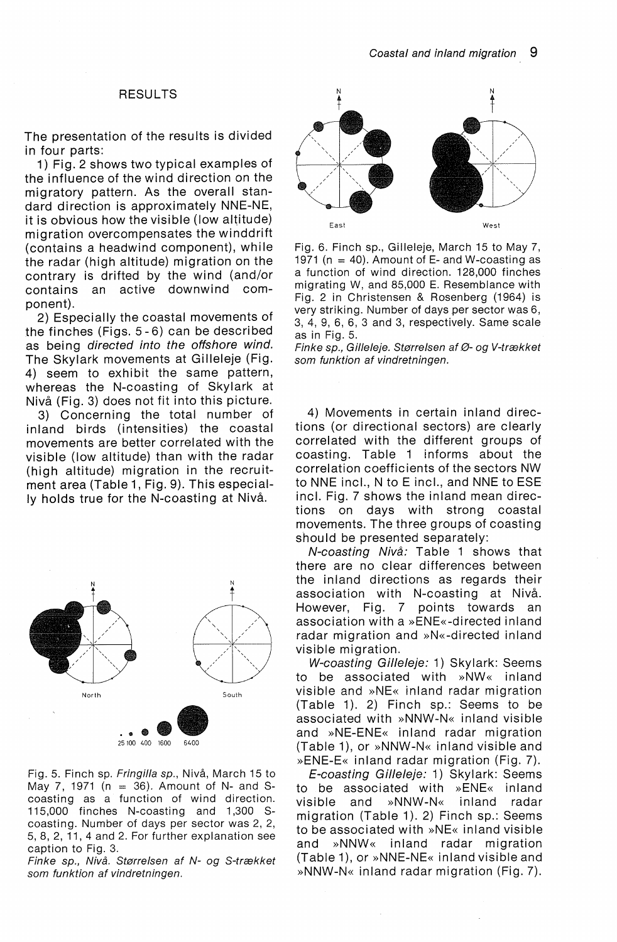#### RESULTS

The presentation of the results is divided in four parts:

1) Fig. 2 shows two typical examples of the influence of the wind direction on the migratory pattern. As the overall standard direction is approximately NNE-NE, it is obvious how the visible (low altitude) migration overcompensates the winddrift (contains a headwind component), while the radar (high altitude) migration on the contrary is drifted by the wind (and/or contains an active downwind component).

2) Especially the coastal movements of the finches (Figs. 5-6) can be described as being directed into the offshore wind. The Skylark movements at Gilleleje (Fig. 4) seem to exhibit the same pattern, whereas the N-coasting of Skylark at Nivå (Fig. 3) does not fit into this picture.

3) Concerning the total number of inland birds (intensities) the coastal movements are better correlated with the visible (low altitude) than with the radar (high altitude) migration in the recruitment area (Table 1, Fig. 9). This especially holds true for the N-coasting at Nivå.



Fig. 5. Finch sp. Fringilla sp., Nivå, March 15 to May 7, 1971 ( $n = 36$ ). Amount of N- and Scoasting as a function of wind direction. 115,000 finches N-coasting and 1,300 Scoasting. Number of days per sector was 2, 2, 5, 8, 2, 11, 4 and 2. For further explanation see caption to Fig. 3.

Finke sp., Nivå. Størrelsen af N- og S-trækket som funktion af vindretningen.



Fig. 6. Finch sp., Gilleleje, March 15 to May 7, 1971 ( $n = 40$ ). Amount of E- and W-coasting as a function of wind direction. 128,000 finches migrating W, and 85,000 E. Resemblance with Fig. 2 in Christensen & Rosenberg (1964) is very striking. Number of days per sector was 6, 3, 4, 9, 6, 6, 3 and 3, respectively. Same scale as in Fig. 5.

Finke sp., Gilleleje. Størrelsen af Ø- og V-trækket som funktion af vindretningen.

4) Movements in certain inland directions (or directional sectors) are clearly correlated with the different groups of coasting. Table 1 informs about the correlation coefficients of the sectors NW to NNE incl., N to E incl., and NNE to ESE incl. Fig. 7 shows the inland mean directions on days with strong coastal movements. The three groups of coasting should be presented separately:

N-coasting Nivå: Table 1 shows that there are no clear differences between the inland directions as regards their association with N-coasting at Nivå. However, Fig. 7 points towards an association with a »ENE«-directed inland radar migration and »N«-directed inland visible migration.

W-coasting Gilleleie: 1) Skylark: Seems to be associated with »NW« inland visible and »NE« inland radar migration (Table 1). 2) Finch sp.: Seems to be associated with »NNW-N« inland visible and »NE-ENE« inland radar migration (Table 1), or »NNW-N« inland visible and »ENE-E« inland radar migration (Fig. 7).

E-coasting Gilleleje: 1) Skylark: Seems to be associated with »ENE« inland visible and »NNW-N« inland radar migration (Table 1). 2) Finch sp.: Seems to be associated with »NE« in land visible and »NNW« inland radar migration (Table 1), or  $\ast$ NNE-NE $\ast$  inland visible and »NNW-N« in land radar migration (Fig. 7).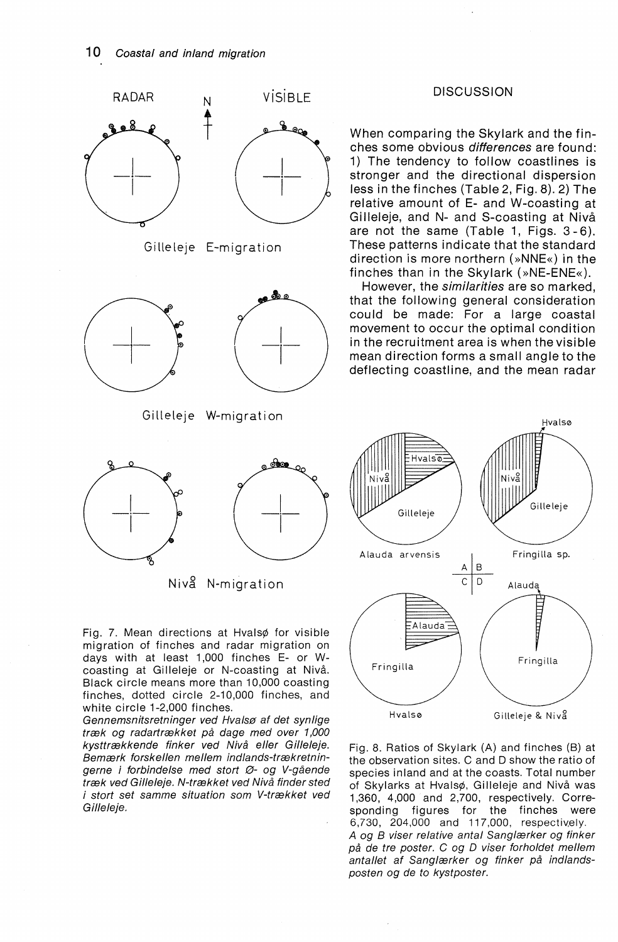

Fig. 7. Mean directions at Hvalsø for visible migration of finches and radar migration on days with at least 1,000 finches E- or Wcoasting at Gilleleje or N-coasting at Nivå. Black circle means more than 10,000 coasting finches, dotted circle 2-10,000 finches, and white circle 1-2,000 finches.

Gennemsnitsretninger ved Hvalsø at det synlige træk og radartrækket på dage med over 1,000 kysttrækkende finker ved Nivå eller Gilleleje. Bemærk forskellen mellem indlands-trækretningerne i forbindelse med stort Ø- og V-gående træk ved Gilleleje. N-trækket ved Nivå finder sted i stort set samme situation som V-trækket ved Gilleleje.

## **DISCUSSION**

When comparing the Skylark and the finches some obvious differences are found: 1) The tendency to follow coastlines is stronger and the directional dispersion less in the finches (Table 2, Fig. 8). 2) The relative amount of E- and W-coasting at Gilleleje, and N- and S-coasting at Nivå are not the same (Table 1, Figs. 3 -6). These patterns indicate that the standard direction is more northern (»NNE«) in the finches than in the Skylark (»NE-ENE«).

However, the similarities are so marked, that the following general consideration could be made: For a large coastal movement to occur the optimal condition in the recruitment area is when thevisible mean direction forms a small angle to the deflecting coastline, and the mean radar



Fig. 8. Ratios of Skylark (A) and finches (B) at the observation sites. C and D show the ratio of species inland and at the coasts. Total number of Skylarks at Hvalsø, Gilleleje and Nivå was 1,360, 4,000 and 2,700, respectively. Corresponding figures for the finches were 6,730, 204,000 and 117,000, respectively. A og B viser relative antal Sanglærker og finker på de tre poster. C og D viser forholdet mellem antallet af Sanglærker og finker på indlandsposten og de to kystposter.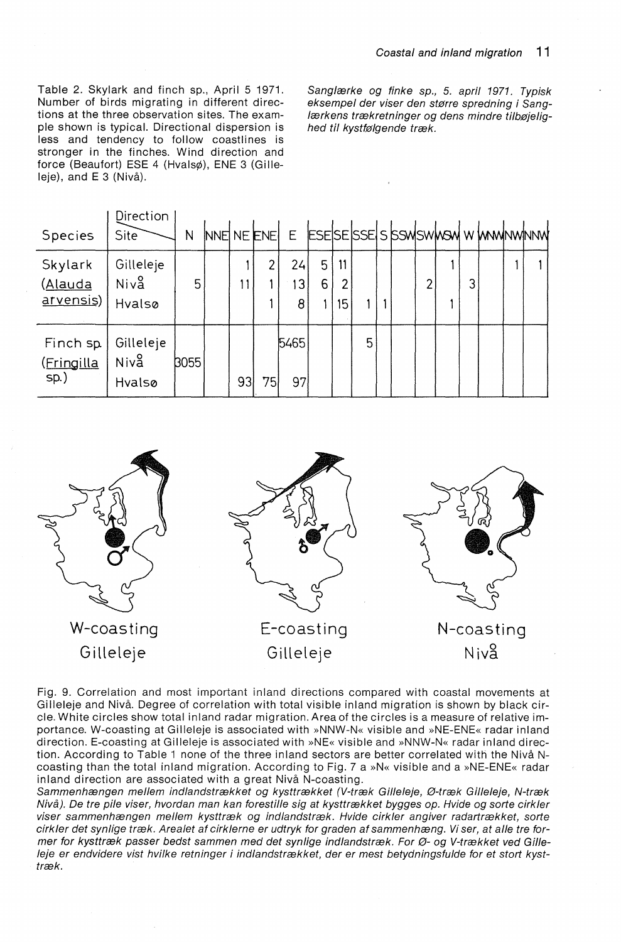Table 2. Skylark and finch sp., April 5 1971. Number of birds migrating in different directions at the three observation sites. The example shown is typical. Directional dispersion is less and tendency to follow coastlines is stronger in the finches. Wind direction and force (Beaufort) ESE 4 (Hvalsø), ENE 3 (Gilleleje), and E 3 (Nivå).

Sanglærke og finke sp., 5. april 1971. Typisk eksempel der viser den større spredning i Sanglærkens trækretninger og dens mindre tilbøjelighed til kystfølgende træk.

| Species                         | Direction<br>Site           | N    |                 |                | INNE NE ENE E ESESESSES SSWSWASY WAMMAWANW |        |                            |   |  |   |   |  |  |
|---------------------------------|-----------------------------|------|-----------------|----------------|--------------------------------------------|--------|----------------------------|---|--|---|---|--|--|
| Skylark<br>(Alauda<br>arvensis) | Gilleleje<br>Niva<br>Hvalsø | 5    | 11              | $\overline{2}$ | 24<br>13 <sub>1</sub><br>8                 | 5<br>6 | 11<br>$\overline{2}$<br>15 |   |  | 2 | 3 |  |  |
| Finch sp.<br>(Fringilla<br>sp.) | Gilleleje<br>Niva<br>Hvalsø | 3055 | 93 <sub>1</sub> | 75             | 5465<br>97                                 |        |                            | 5 |  |   |   |  |  |

W-coasting Gilleleje E-coasting Gilleleje N-coasting Niv3

Fig. 9. Correlation and most important inland directions compared with coastal movements at Gilleleje and Nivå. Degree of correlation with total visible inland migration is shown by black circle. White circles show total in land radar migration. Area of the circles is a measure of relative importance. W-coasting at Gilleleje is associated with »NNW-N« visible and »NE-ENE« radar inland direction. E-coasting at Gilleleje is associated with »NE« visible and »NNW-N« radar inland direction. According to Table 1 none of the three inland sectors are better correlated with the Nivå Ncoasting than the total inland migration. According to Fig. 7 a »N« visible and a »NE-ENE« radar inland direction are associated with a great Nivå N-coasting.

Sammenhængen mellem indlandstrækket og kysttrækket (V-træk Gilleleje, Ø-træk Gilleleje, N-træk Nivå). De tre pile viser, hvordan man kan forestille sig at kysttrækket bygges op. Hvide og sorte cirkler viser sammenhængen mellem kysttræk og indlandstræk. Hvide cirkler angiver radartrækket, sorte cirkler det synlige træk. Arealet af cirklerne er udtryk for graden af sammenhæng. Vi ser, at alle tre former for kysttræk passer bedst sammen med det synlige indlandstræk. For Ø- og V-trækket ved Gilleleje er endvidere vist hvilke retninger i indlandstrækket, der er mest betydningsfulde for et stort kysttræk.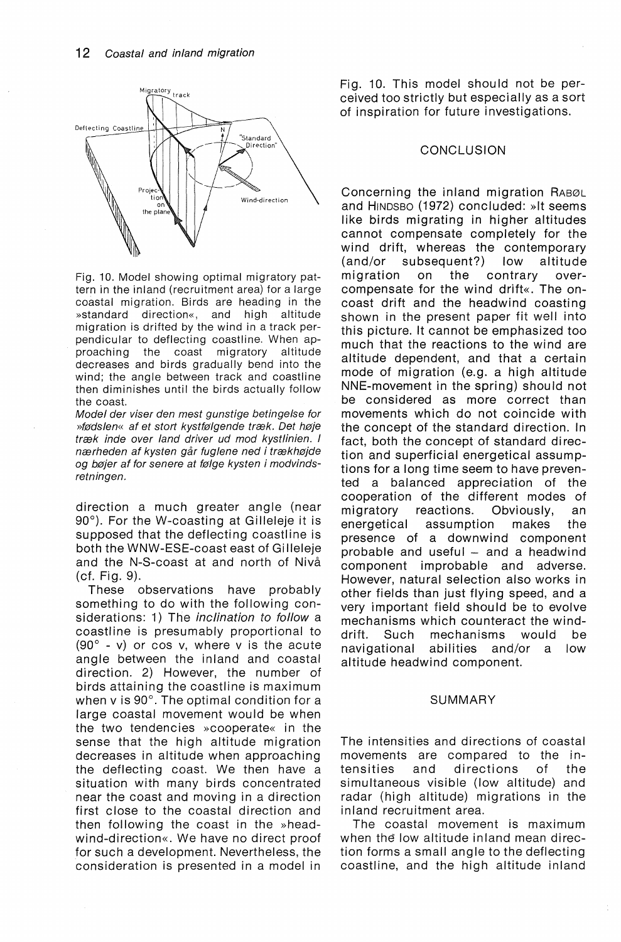

Fig. 10. Model showing optimal migratory pattern in the inland (recruitment area) for a large coastal migration. Birds are heading in the »standard direction«, and high altitude migration is drifted by the wind in a track perpendicular to deflecting coastline. When approaching the coast migratory altitude decreases and birds gradually bend into the wind; the angle between track and coastline then diminishes until the birds actually follow the coast.

Model der viser den mest gunstige betingelse for »fødslen« af et stort kystfølgende træk. Det høje træk inde over land driver ud mod kystlinien. I nærheden af kysten går fuglene ned i trækhøjde og bøjer af for senere at følge kysten i modvindsretningen.

direction a much greater angle (near 90°). For the W-coasting at Gilleleje it is supposed that the deflecting coastline is both the WNW-ESE-coast east of Gilleleje and the N-S-coast at and north of Nivå (cf. Fig. 9).

These observations have probably something to do with the following considerations: 1) The *inclination to follow* a coastline is presumably proportional to (90° - v) or cos v, where v is the acute angle between the inland and coastal direction. 2) However, the number of birds attaining the coastline is maximum when v is 90°. The optimal condition for a large coastal movement would be when the two tendencies »cooperate« in the sense that the high altitude migration decreases in altitude when approaching the deflecting coast. We then have a situation with many birds concentrated near the coast and moving in a direction first close to the coastal direction and then following the coast in the »headwind-direction«. We have no direct proof for such a development. Nevertheless, the consideration is presented in a model in

Fig. 10. This model should not be perceived too strictly but especial ly as a sort of inspiration for future investigations.

## **CONCLUSION**

Concerning the inland migration RABØL and HINDSBO (1972) concluded: »It seems like birds migrating in higher altitudes cannot compensate completely for the wind drift, whereas the contemporary (and/or subsequent?) low altitude migration on the contrary overcompensate for the wind drift«. The oncoast drift and the headwind coasting shown in the present paper fit well into this picture. It cannot be emphasized too much that the reactions to the wind are altitude dependent, and that a certain mode of migration (e.g. a high altitude NNE-movement in the spring) should not be considered as more correct than movements which do not coincide with the concept of the standard direction. In fact, both the concept of standard direction and superficial energetical assumptions for a long time seem to have prevented a balanced appreciation of the cooperation of the different modes of migratory reactions. Obviously, an energetical assumption makes the presence of a downwind component probable and useful  $-$  and a headwind component improbable and adverse. However, natural selection also works in other fields than just flying speed, and a very important field should be to evolve mechanisms which counteract the winddrift. Such mechanisms would be navigational abilities and/or a low altitude headwind component.

### SUMMARY

The intensities and directions of coastal movements are compared to the intensities and directions of the simultaneous visible (low altitude) and radar (high altitude) migrations in the inland recruitment area.

The coastal movement is maximum when the low altitude inland mean direction forms a small angle to the deflecting coastline, and the high altitude inland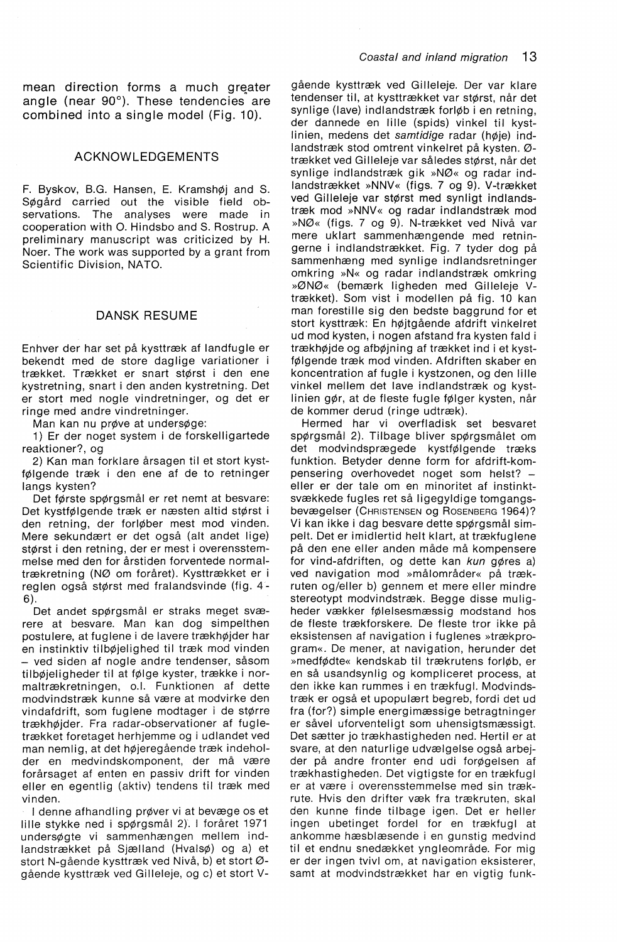mean direction forms a much greater angle (near 90°). These tendencies are combined into a single model (Fig. 10).

## ACKNOWLEDGEMENTS

F. Byskov, B.G. Hansen, E. Kramshøj and S. SØgård carried out the visible field observations. The analyses were made in cooperation with 0. Hindsbo and S. Rostrup. A preliminary manuscript was criticized by H. Noer. The work was supported by a grant from Scientific Division, NATO.

### DANSK RESUME

Enhver der har set på kysttræk af landfugle er bekendt med de store daglige variationer i trækket. Trækket er snart størst i den ene kystretning, snart i den anden kystretning. Det er stort med nogle vindretninger, og det er ringe med andre vindretninger.

Man kan nu prøve at undersøge:

1) Er der noget system i de forskelligartede reaktioner?, og

2) Kan man forklare årsagen til et stort kystfØlgende træk i den ene af de to retninger langs kysten?

Det tørste spørgsmål er ret nemt at besvare: Det kystfØlgende træk er næsten altid størst i den retning, der forlØber mest mod vinden. Mere sekundært er det også (alt andet lige) størst i den retning, der er mest i overensstemmelse med den for årstiden forventede normaltrækretning (NØ om foråret). Kysttrækket er i reglen også størst med fralandsvinde (fig. 4- 6).

Det andet spørgsmål er straks meget sværere at besvare. Man kan dog simpelthen postulere, at fuglene i de lavere trækhØjder har en instinktiv tilbØjelighed til træk mod vinden - ved siden af nogle andre tendenser, såsom tilbØjeligheder til at fØlge kyster, trække i normaltrækretningen, o.l. Funktionen af dette modvindstræk kunne så være at modvirke den vindafdrift, som fuglene modtager i de større trækhØjder. Fra radar-observationer af fugletrækket foretaget herhjemme og i udlandet ved man nemlig, at det hØjeregående træk indeholder en medvindskomponent, der må være forårsaget af enten en passiv drift for vinden eller en egentlig (aktiv) tendens til træk med vinden.

I denne afhandling prøver vi at bevæge os et lille stykke ned i spørgsmål 2). I foråret 1971 undersøgte vi sammenhængen mellem indlandstrækket på Sjælland (HvalsØ) og a) et stort N-gående kysttræk ved Nivå, b) et stort Øgående kysttræk ved Gilleleje, og c) et stort V- gående kysttræk ved Gilleleje. Der var klare tendenser til, at kysttrækket var størst, når det synlige (lave) indlandstræk forløb i en retning, der dannede en lille (spids) vinkel til kystlinien, medens det samtidige radar (høje) indlandstræk stod omtrent vinkelret på kysten. Øtrækket ved Gilleleje var således størst, når det synlige indlandstræk gik »NØ« og radar indlandstrækket »NNV« (figs. 7 og 9). V-trækket ved Gilleleje var størst med synligt indlandstræk mod »NNV« og radar indlandstræk mod »NØ« (figs. 7 og 9). N-trækket ved Nivå var mere uklart sammenhængende med retningerne i indlandstrækket. Fig. 7 tyder dog på sammenhæng med synlige indlandsretninger omkring »N« og radar indlandstræk omkring »ØNØ« (bemærk ligheden med Gilleleje Vtrækket). Som vist i modellen på fig. 10 kan man forestille sig den bedste baggrund for et stort kysttræk: En hØjtgående afdrift vinkelret ud mod kysten, i nogen afstand fra kysten fald i trækhØjde og afbØjning af trækket ind i et kystfØlgende træk mod vinden. Afdriften skaber en koncentration af fugle i kystzonen, og den lille vinkel mellem det lave indlandstræk og kystlinien gØr, at de fleste fugle fØlger kysten, når de kommer derud (ringe udtræk).

Hermed har vi overfladisk set besvaret spørgsmål 2). Tilbage bliver spørgsmålet om det modvindsprægede kystfØlgende træks funktion. Betyder denne form for afdrift-kompensering overhovedet noget som helst? eller er der tale om en minoritet af instinktsvækkede fugles ret så ligegyldige tomgangsbevægelser (CHRISTENSEN og ROSENBERG 1964)? Vi kan ikke i dag besvare dette spørgsmål simpelt. Det er imidlertid helt klart, at trækfuglene på den ene eller anden måde må kompensere for vind-afdriften, og dette kan kun gøres a) ved navigation mod »målområder« på trækruten og/eller b) gennem et mere eller mindre stereotypt modvindstræk. Begge disse muligheder vækker fØlelsesmæssig modstand hos de fleste trækforskere. De fleste tror ikke på eksistensen af navigation i fuglenes »trækprogram«. De mener, at navigation, herunder det »medfødte« kendskab til trækrutens forløb, er en så usandsynlig og kompliceret process, at den ikke kan rummes i en trækfugl. Modvindstræk er også et upopulært begreb, fordi det ud fra (for?) simple energimæssige betragtninger er såvel uforventeligt som uhensigtsmæssigt. Det sætter jo trækhastigheden ned. Hertil er at svare, at den naturlige udvælgelse også arbejder på andre fronter end udi forøgelsen af trækhastigheden. Det vigtigste for en trækfugl er at være i overensstemmelse med sin trækrute. Hvis den drifter væk fra trækruten, skal den kunne finde tilbage igen. Det er heller ingen ubetinget fordel for en trækfugl at ankomme hæsblæsende i en gunstig medvind til et endnu snedækket yngleområde. For mig er der ingen tvivl om, at navigation eksisterer, samt at modvindstrækket har en vigtig funk-